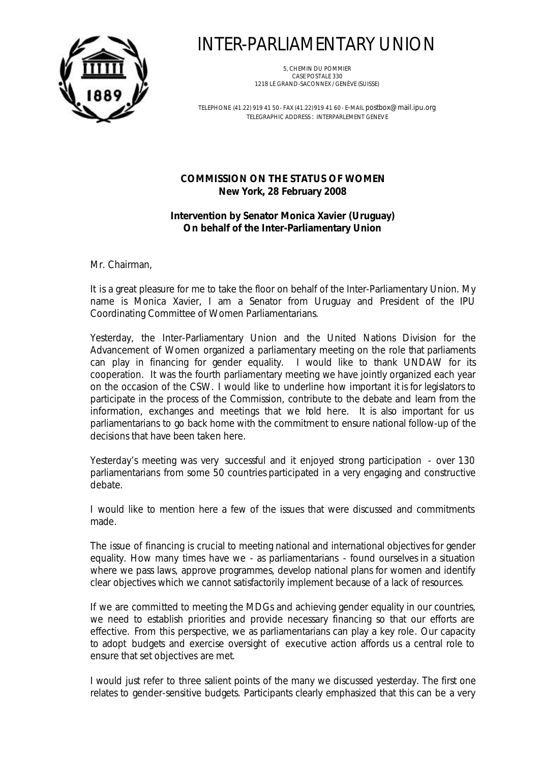

## INTER-PARLIAMENTARY UNION

5, CHEMIN DU POMMIER CASE POSTALE 330 1218 LE GRAND-SACONNEX / GENÈVE (SUISSE)

TELEPHONE (41.22) 919 41 50 - FAX (41.22)919 41 60 - E-MAIL postbox@mail.ipu.org TELEGRAPHIC ADDRESS : INTERPARLEMENT GENEVE

## **COMMISSION ON THE STATUS OF WOMEN New York, 28 February 2008**

## **Intervention by Senator Monica Xavier (Uruguay) On behalf of the Inter-Parliamentary Union**

Mr. Chairman,

It is a great pleasure for me to take the floor on behalf of the Inter-Parliamentary Union. My name is Monica Xavier, I am a Senator from Uruguay and President of the IPU Coordinating Committee of Women Parliamentarians.

Yesterday, the Inter-Parliamentary Union and the United Nations Division for the Advancement of Women organized a parliamentary meeting on the role that parliaments can play in financing for gender equality. I would like to thank UNDAW for its cooperation. It was the fourth parliamentary meeting we have jointly organized each year on the occasion of the CSW. I would like to underline how important it is for legislators to participate in the process of the Commission, contribute to the debate and learn from the information, exchanges and meetings that we hold here. It is also important for us parliamentarians to go back home with the commitment to ensure national follow-up of the decisions that have been taken here.

Yesterday's meeting was very successful and it enjoyed strong participation - over 130 parliamentarians from some 50 countries participated in a very engaging and constructive debate.

I would like to mention here a few of the issues that were discussed and commitments made.

The issue of financing is crucial to meeting national and international objectives for gender equality. How many times have we - as parliamentarians - found ourselves in a situation where we pass laws, approve programmes, develop national plans for women and identify clear objectives which we cannot satisfactorily implement because of a lack of resources.

If we are committed to meeting the MDGs and achieving gender equality in our countries, we need to establish priorities and provide necessary financing so that our efforts are effective. From this perspective, we as parliamentarians can play a key role. Our capacity to adopt budgets and exercise oversight of executive action affords us a central role to ensure that set objectives are met.

I would just refer to three salient points of the many we discussed yesterday. The first one relates to gender-sensitive budgets. Participants clearly emphasized that this can be a very